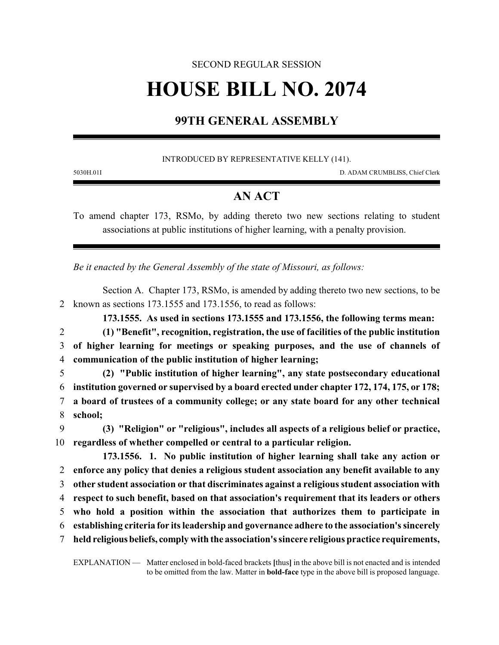## SECOND REGULAR SESSION **HOUSE BILL NO. 2074**

## **99TH GENERAL ASSEMBLY**

INTRODUCED BY REPRESENTATIVE KELLY (141).

5030H.01I D. ADAM CRUMBLISS, Chief Clerk

## **AN ACT**

To amend chapter 173, RSMo, by adding thereto two new sections relating to student associations at public institutions of higher learning, with a penalty provision.

*Be it enacted by the General Assembly of the state of Missouri, as follows:*

Section A. Chapter 173, RSMo, is amended by adding thereto two new sections, to be 2 known as sections 173.1555 and 173.1556, to read as follows:

**173.1555. As used in sections 173.1555 and 173.1556, the following terms mean:**

2 **(1) "Benefit", recognition, registration, the use of facilities of the public institution** 3 **of higher learning for meetings or speaking purposes, and the use of channels of** 4 **communication of the public institution of higher learning;**

 **(2) "Public institution of higher learning", any state postsecondary educational institution governed or supervised by a board erected under chapter 172, 174, 175, or 178; a board of trustees of a community college; or any state board for any other technical** 8 **school;**

9 **(3) "Religion" or "religious", includes all aspects of a religious belief or practice,** 10 **regardless of whether compelled or central to a particular religion.**

**173.1556. 1. No public institution of higher learning shall take any action or enforce any policy that denies a religious student association any benefit available to any other student association or that discriminates against a religious student association with respect to such benefit, based on that association's requirement that its leaders or others who hold a position within the association that authorizes them to participate in establishing criteria for its leadership and governance adhere to the association's sincerely held religiousbeliefs, comply with the association's sincere religious practice requirements,**

EXPLANATION — Matter enclosed in bold-faced brackets **[**thus**]** in the above bill is not enacted and is intended to be omitted from the law. Matter in **bold-face** type in the above bill is proposed language.